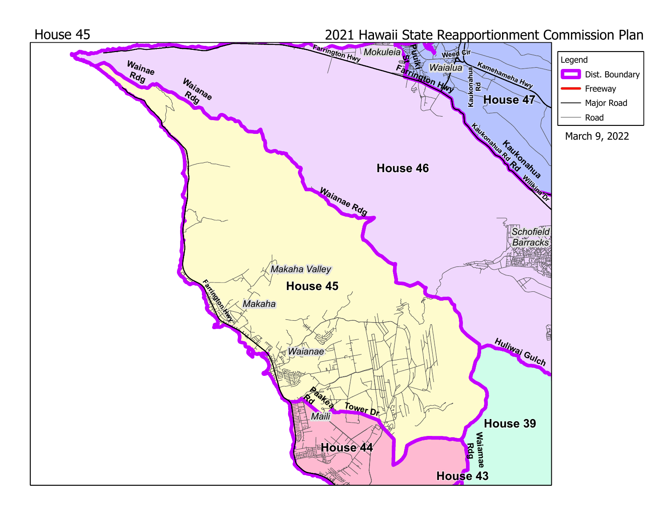